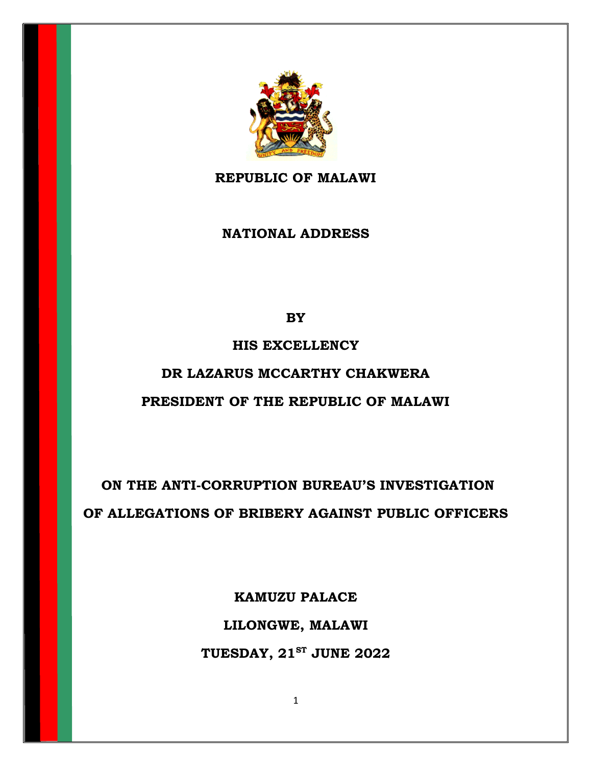

**REPUBLIC OF MALAWI**

**NATIONAL ADDRESS**

**BY**

## **HIS EXCELLENCY**

## **DR LAZARUS MCCARTHY CHAKWERA**

## **PRESIDENT OF THE REPUBLIC OF MALAWI**

**ON THE ANTI-CORRUPTION BUREAU'S INVESTIGATION OF ALLEGATIONS OF BRIBERY AGAINST PUBLIC OFFICERS**

> **KAMUZU PALACE LILONGWE, MALAWI TUESDAY, 21ST JUNE 2022**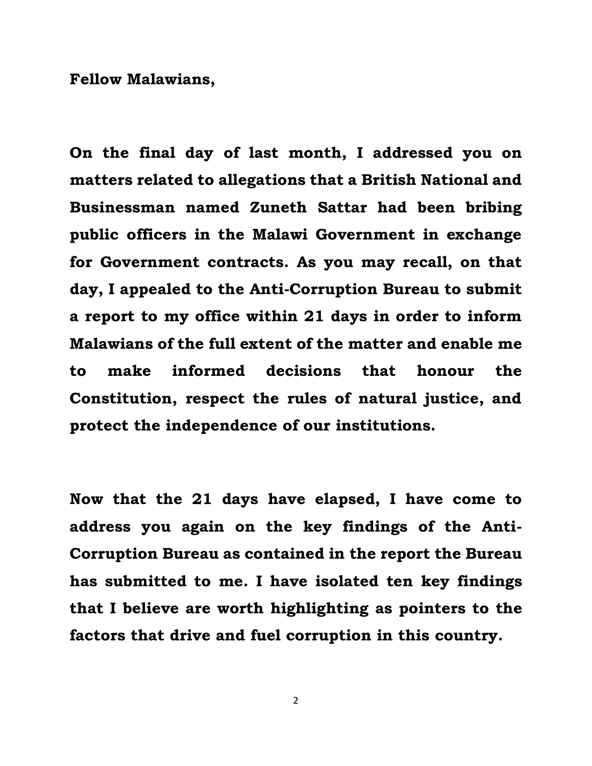**Fellow Malawians,**

**On the final day of last month, I addressed you on matters related to allegations that a British National and Businessman named Zuneth Sattar had been bribing public officers in the Malawi Government in exchange for Government contracts. As you may recall, on that day, I appealed to the Anti-Corruption Bureau to submit a report to my office within 21 days in order to inform Malawians of the full extent of the matter and enable me to make informed decisions that honour the Constitution, respect the rules of natural justice, and protect the independence of our institutions.** 

**Now that the 21 days have elapsed, I have come to address you again on the key findings of the Anti-Corruption Bureau as contained in the report the Bureau has submitted to me. I have isolated ten key findings that I believe are worth highlighting as pointers to the factors that drive and fuel corruption in this country.**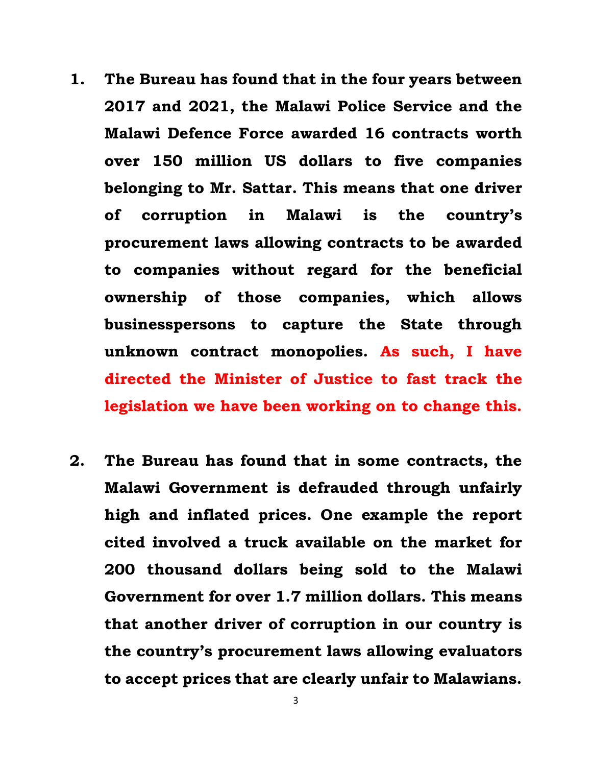- **1. The Bureau has found that in the four years between 2017 and 2021, the Malawi Police Service and the Malawi Defence Force awarded 16 contracts worth over 150 million US dollars to five companies belonging to Mr. Sattar. This means that one driver of corruption in Malawi is the country's procurement laws allowing contracts to be awarded to companies without regard for the beneficial ownership of those companies, which allows businesspersons to capture the State through unknown contract monopolies. As such, I have directed the Minister of Justice to fast track the legislation we have been working on to change this.**
- **2. The Bureau has found that in some contracts, the Malawi Government is defrauded through unfairly high and inflated prices. One example the report cited involved a truck available on the market for 200 thousand dollars being sold to the Malawi Government for over 1.7 million dollars. This means that another driver of corruption in our country is the country's procurement laws allowing evaluators to accept prices that are clearly unfair to Malawians.**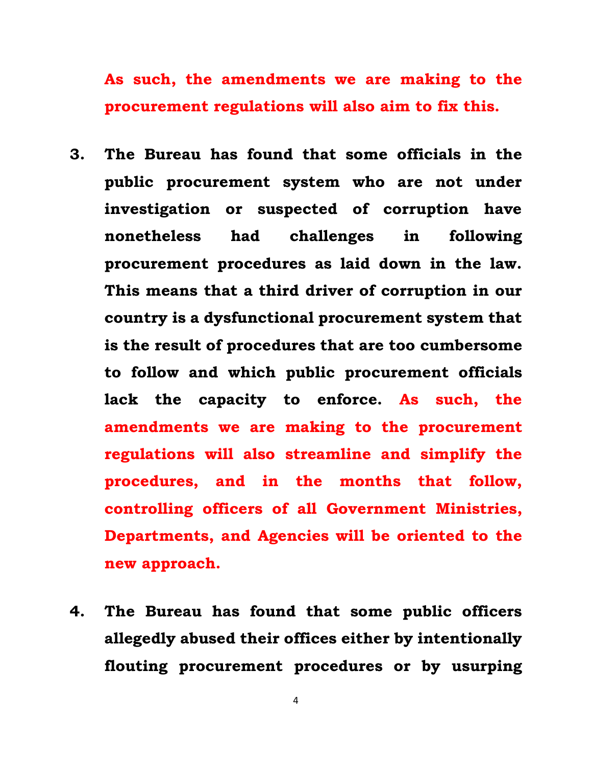**As such, the amendments we are making to the procurement regulations will also aim to fix this.**

- **3. The Bureau has found that some officials in the public procurement system who are not under investigation or suspected of corruption have nonetheless had challenges in following procurement procedures as laid down in the law. This means that a third driver of corruption in our country is a dysfunctional procurement system that is the result of procedures that are too cumbersome to follow and which public procurement officials lack the capacity to enforce. As such, the amendments we are making to the procurement regulations will also streamline and simplify the procedures, and in the months that follow, controlling officers of all Government Ministries, Departments, and Agencies will be oriented to the new approach.**
- **4. The Bureau has found that some public officers allegedly abused their offices either by intentionally flouting procurement procedures or by usurping**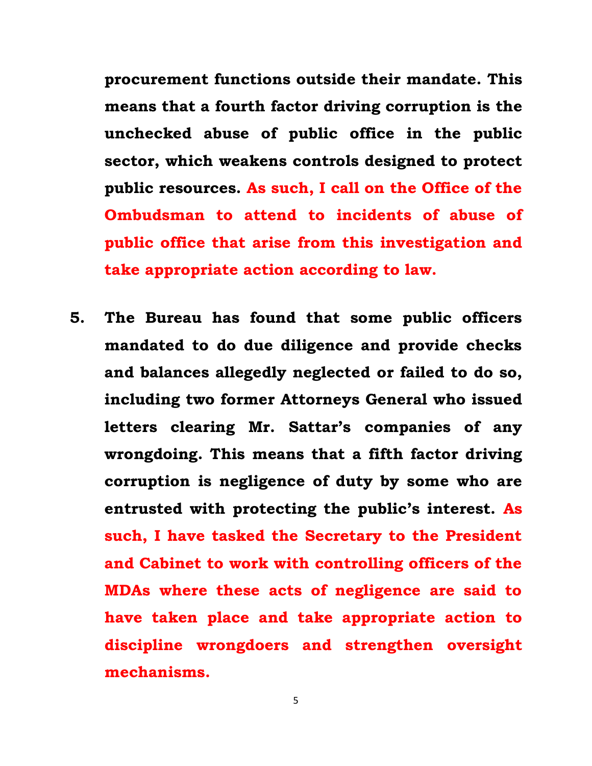**procurement functions outside their mandate. This means that a fourth factor driving corruption is the unchecked abuse of public office in the public sector, which weakens controls designed to protect public resources. As such, I call on the Office of the Ombudsman to attend to incidents of abuse of public office that arise from this investigation and take appropriate action according to law.**

**5. The Bureau has found that some public officers mandated to do due diligence and provide checks and balances allegedly neglected or failed to do so, including two former Attorneys General who issued letters clearing Mr. Sattar's companies of any wrongdoing. This means that a fifth factor driving corruption is negligence of duty by some who are entrusted with protecting the public's interest. As such, I have tasked the Secretary to the President and Cabinet to work with controlling officers of the MDAs where these acts of negligence are said to have taken place and take appropriate action to discipline wrongdoers and strengthen oversight mechanisms.**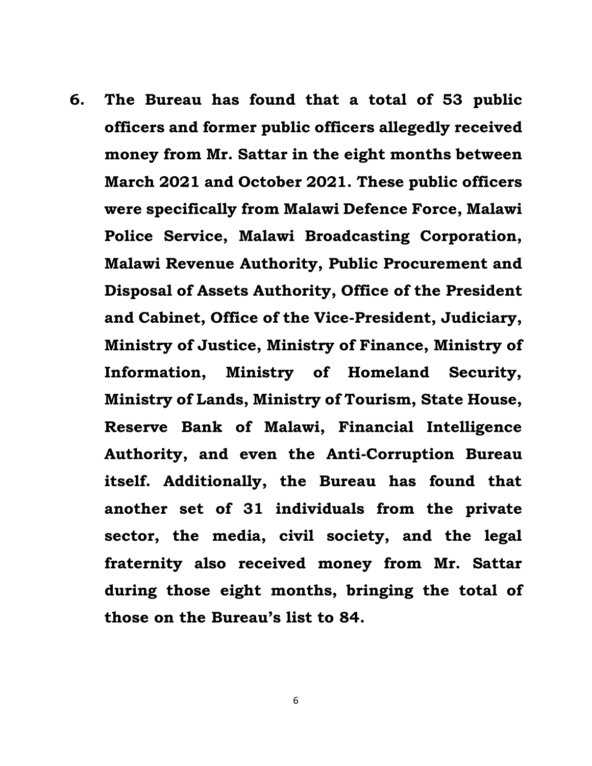**6. The Bureau has found that a total of 53 public officers and former public officers allegedly received money from Mr. Sattar in the eight months between March 2021 and October 2021. These public officers were specifically from Malawi Defence Force, Malawi Police Service, Malawi Broadcasting Corporation, Malawi Revenue Authority, Public Procurement and Disposal of Assets Authority, Office of the President and Cabinet, Office of the Vice-President, Judiciary, Ministry of Justice, Ministry of Finance, Ministry of Information, Ministry of Homeland Security, Ministry of Lands, Ministry of Tourism, State House, Reserve Bank of Malawi, Financial Intelligence Authority, and even the Anti-Corruption Bureau itself. Additionally, the Bureau has found that another set of 31 individuals from the private sector, the media, civil society, and the legal fraternity also received money from Mr. Sattar during those eight months, bringing the total of those on the Bureau's list to 84.**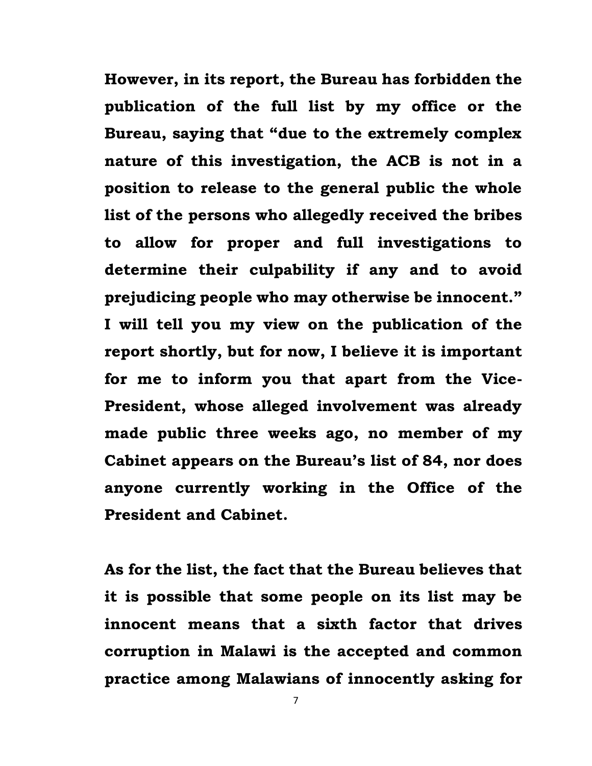**However, in its report, the Bureau has forbidden the publication of the full list by my office or the Bureau, saying that "due to the extremely complex nature of this investigation, the ACB is not in a position to release to the general public the whole list of the persons who allegedly received the bribes to allow for proper and full investigations to determine their culpability if any and to avoid prejudicing people who may otherwise be innocent." I will tell you my view on the publication of the report shortly, but for now, I believe it is important for me to inform you that apart from the Vice-President, whose alleged involvement was already made public three weeks ago, no member of my Cabinet appears on the Bureau's list of 84, nor does anyone currently working in the Office of the President and Cabinet.**

**As for the list, the fact that the Bureau believes that it is possible that some people on its list may be innocent means that a sixth factor that drives corruption in Malawi is the accepted and common practice among Malawians of innocently asking for**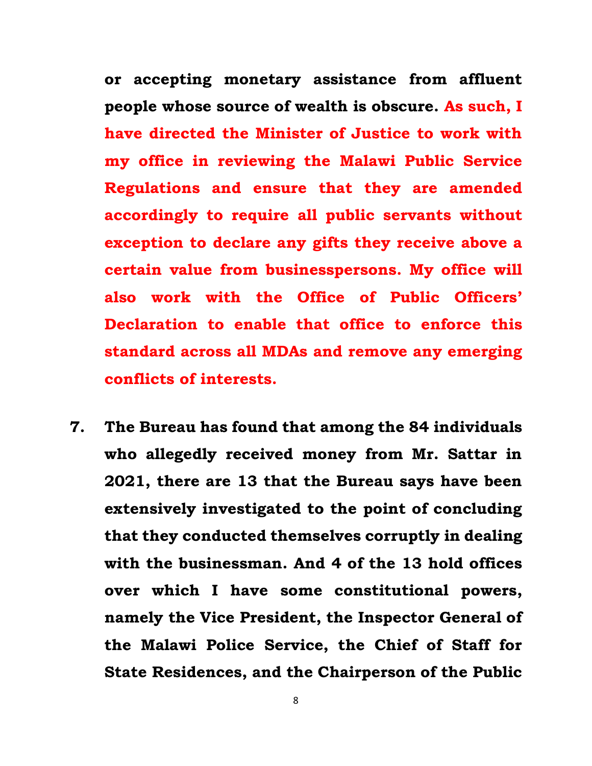**or accepting monetary assistance from affluent people whose source of wealth is obscure. As such, I have directed the Minister of Justice to work with my office in reviewing the Malawi Public Service Regulations and ensure that they are amended accordingly to require all public servants without exception to declare any gifts they receive above a certain value from businesspersons. My office will also work with the Office of Public Officers' Declaration to enable that office to enforce this standard across all MDAs and remove any emerging conflicts of interests.** 

**7. The Bureau has found that among the 84 individuals who allegedly received money from Mr. Sattar in 2021, there are 13 that the Bureau says have been extensively investigated to the point of concluding that they conducted themselves corruptly in dealing with the businessman. And 4 of the 13 hold offices over which I have some constitutional powers, namely the Vice President, the Inspector General of the Malawi Police Service, the Chief of Staff for State Residences, and the Chairperson of the Public**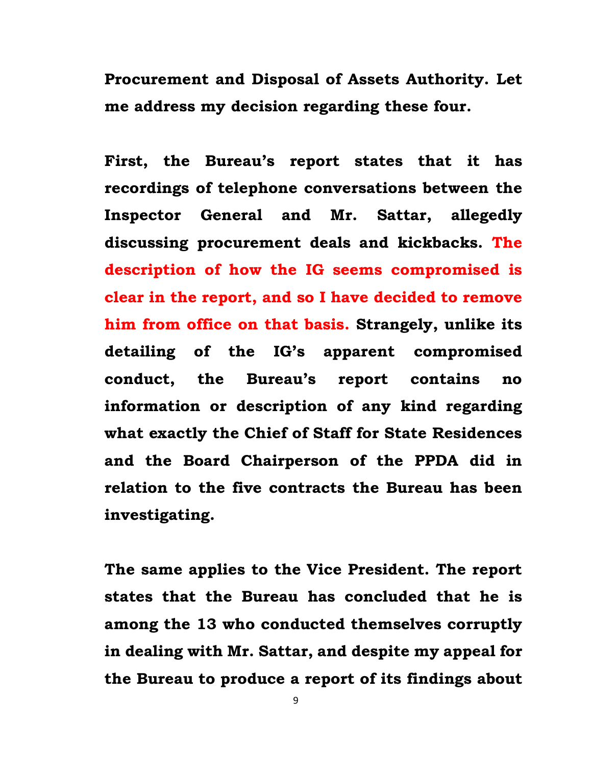**Procurement and Disposal of Assets Authority. Let me address my decision regarding these four.**

**First, the Bureau's report states that it has recordings of telephone conversations between the Inspector General and Mr. Sattar, allegedly discussing procurement deals and kickbacks. The description of how the IG seems compromised is clear in the report, and so I have decided to remove him from office on that basis. Strangely, unlike its detailing of the IG's apparent compromised conduct, the Bureau's report contains no information or description of any kind regarding what exactly the Chief of Staff for State Residences and the Board Chairperson of the PPDA did in relation to the five contracts the Bureau has been investigating.** 

**The same applies to the Vice President. The report states that the Bureau has concluded that he is among the 13 who conducted themselves corruptly in dealing with Mr. Sattar, and despite my appeal for the Bureau to produce a report of its findings about**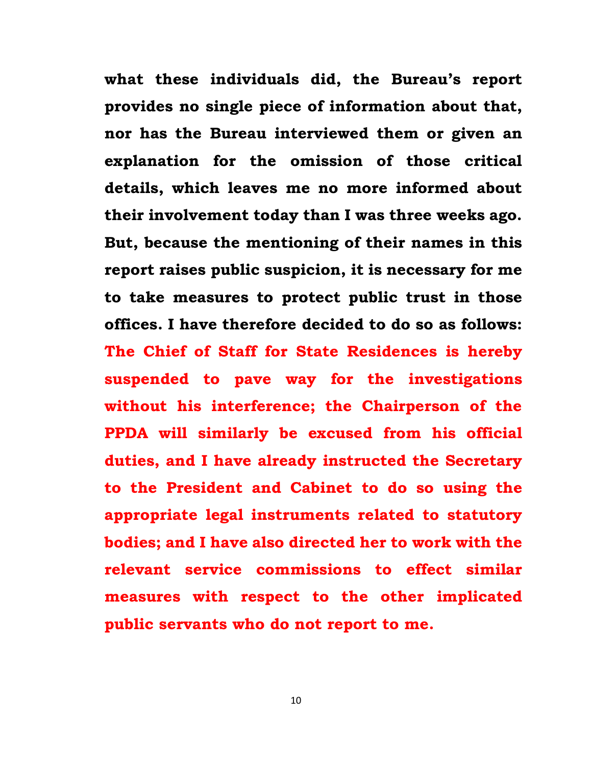**what these individuals did, the Bureau's report provides no single piece of information about that, nor has the Bureau interviewed them or given an explanation for the omission of those critical details, which leaves me no more informed about their involvement today than I was three weeks ago. But, because the mentioning of their names in this report raises public suspicion, it is necessary for me to take measures to protect public trust in those offices. I have therefore decided to do so as follows: The Chief of Staff for State Residences is hereby suspended to pave way for the investigations without his interference; the Chairperson of the PPDA will similarly be excused from his official duties, and I have already instructed the Secretary to the President and Cabinet to do so using the appropriate legal instruments related to statutory bodies; and I have also directed her to work with the relevant service commissions to effect similar measures with respect to the other implicated public servants who do not report to me.**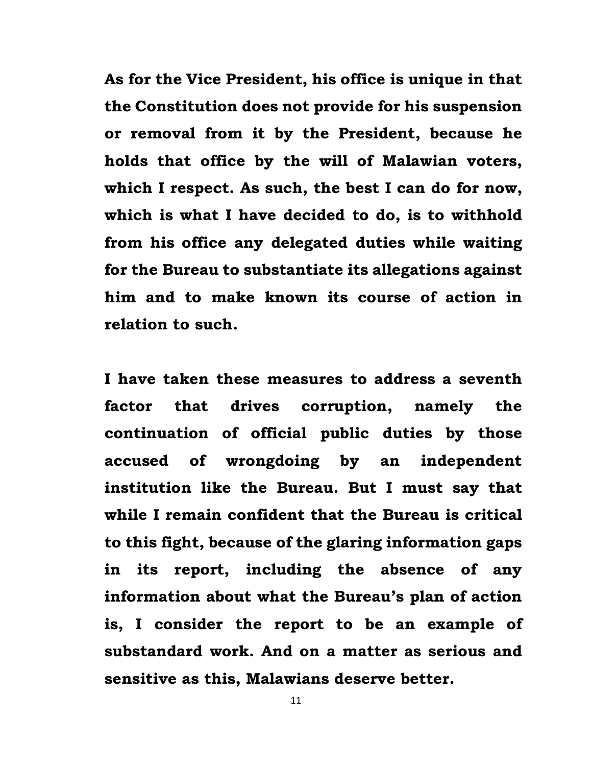**As for the Vice President, his office is unique in that the Constitution does not provide for his suspension or removal from it by the President, because he holds that office by the will of Malawian voters, which I respect. As such, the best I can do for now, which is what I have decided to do, is to withhold from his office any delegated duties while waiting for the Bureau to substantiate its allegations against him and to make known its course of action in relation to such.**

**I have taken these measures to address a seventh factor that drives corruption, namely the continuation of official public duties by those accused of wrongdoing by an independent institution like the Bureau. But I must say that while I remain confident that the Bureau is critical to this fight, because of the glaring information gaps in its report, including the absence of any information about what the Bureau's plan of action is, I consider the report to be an example of substandard work. And on a matter as serious and sensitive as this, Malawians deserve better.**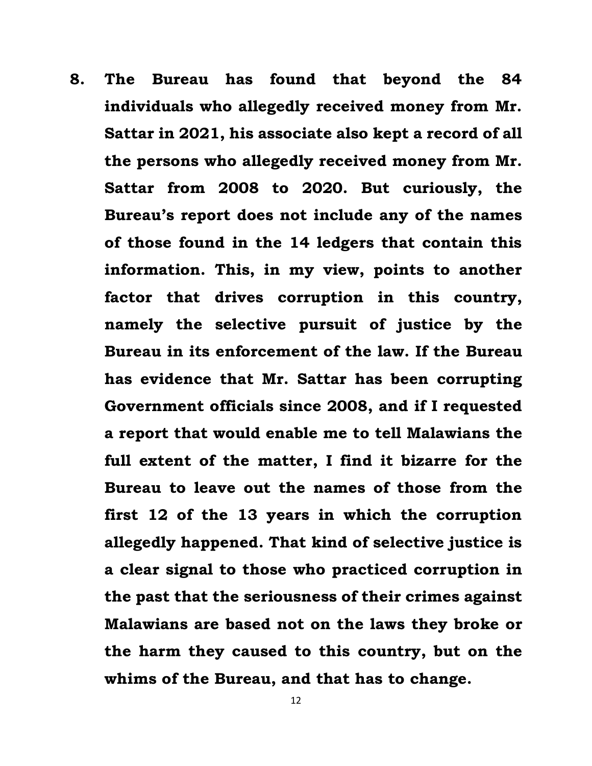**8. The Bureau has found that beyond the 84 individuals who allegedly received money from Mr. Sattar in 2021, his associate also kept a record of all the persons who allegedly received money from Mr. Sattar from 2008 to 2020. But curiously, the Bureau's report does not include any of the names of those found in the 14 ledgers that contain this information. This, in my view, points to another factor that drives corruption in this country, namely the selective pursuit of justice by the Bureau in its enforcement of the law. If the Bureau has evidence that Mr. Sattar has been corrupting Government officials since 2008, and if I requested a report that would enable me to tell Malawians the full extent of the matter, I find it bizarre for the Bureau to leave out the names of those from the first 12 of the 13 years in which the corruption allegedly happened. That kind of selective justice is a clear signal to those who practiced corruption in the past that the seriousness of their crimes against Malawians are based not on the laws they broke or the harm they caused to this country, but on the whims of the Bureau, and that has to change.**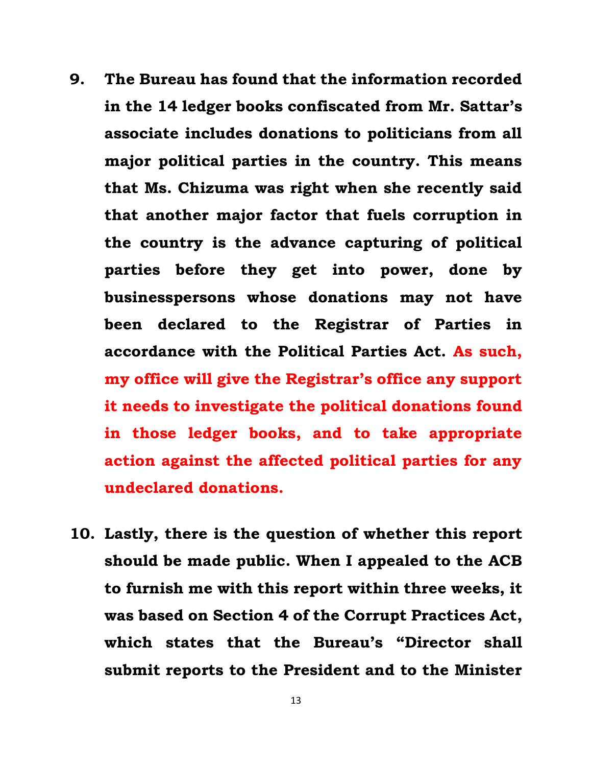- **9. The Bureau has found that the information recorded in the 14 ledger books confiscated from Mr. Sattar's associate includes donations to politicians from all major political parties in the country. This means that Ms. Chizuma was right when she recently said that another major factor that fuels corruption in the country is the advance capturing of political parties before they get into power, done by businesspersons whose donations may not have been declared to the Registrar of Parties in accordance with the Political Parties Act. As such, my office will give the Registrar's office any support it needs to investigate the political donations found in those ledger books, and to take appropriate action against the affected political parties for any undeclared donations.**
- **10. Lastly, there is the question of whether this report should be made public. When I appealed to the ACB to furnish me with this report within three weeks, it was based on Section 4 of the Corrupt Practices Act, which states that the Bureau's "Director shall submit reports to the President and to the Minister**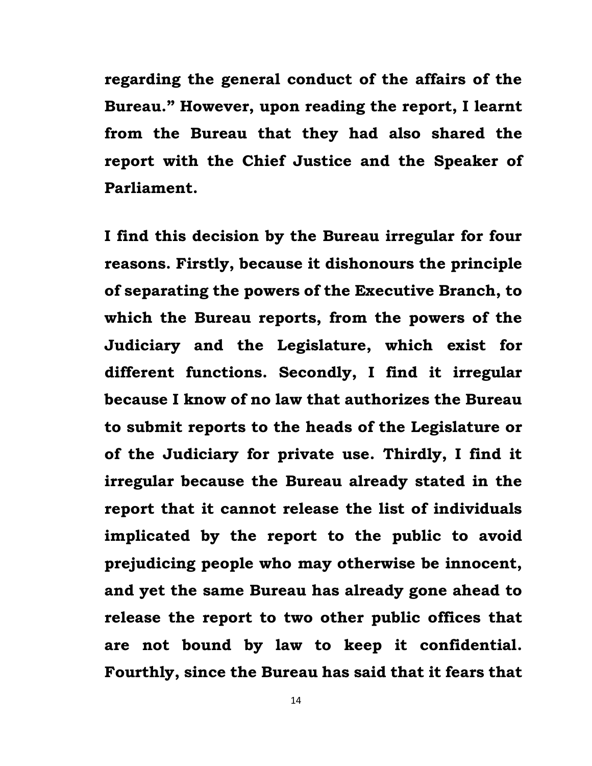**regarding the general conduct of the affairs of the Bureau." However, upon reading the report, I learnt from the Bureau that they had also shared the report with the Chief Justice and the Speaker of Parliament.** 

**I find this decision by the Bureau irregular for four reasons. Firstly, because it dishonours the principle of separating the powers of the Executive Branch, to which the Bureau reports, from the powers of the Judiciary and the Legislature, which exist for different functions. Secondly, I find it irregular because I know of no law that authorizes the Bureau to submit reports to the heads of the Legislature or of the Judiciary for private use. Thirdly, I find it irregular because the Bureau already stated in the report that it cannot release the list of individuals implicated by the report to the public to avoid prejudicing people who may otherwise be innocent, and yet the same Bureau has already gone ahead to release the report to two other public offices that are not bound by law to keep it confidential. Fourthly, since the Bureau has said that it fears that**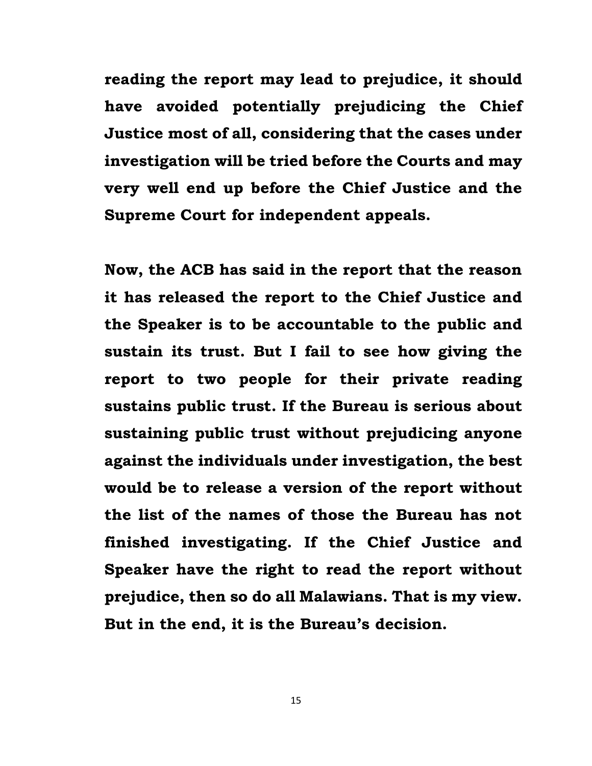**reading the report may lead to prejudice, it should have avoided potentially prejudicing the Chief Justice most of all, considering that the cases under investigation will be tried before the Courts and may very well end up before the Chief Justice and the Supreme Court for independent appeals.**

**Now, the ACB has said in the report that the reason it has released the report to the Chief Justice and the Speaker is to be accountable to the public and sustain its trust. But I fail to see how giving the report to two people for their private reading sustains public trust. If the Bureau is serious about sustaining public trust without prejudicing anyone against the individuals under investigation, the best would be to release a version of the report without the list of the names of those the Bureau has not finished investigating. If the Chief Justice and Speaker have the right to read the report without prejudice, then so do all Malawians. That is my view. But in the end, it is the Bureau's decision.**